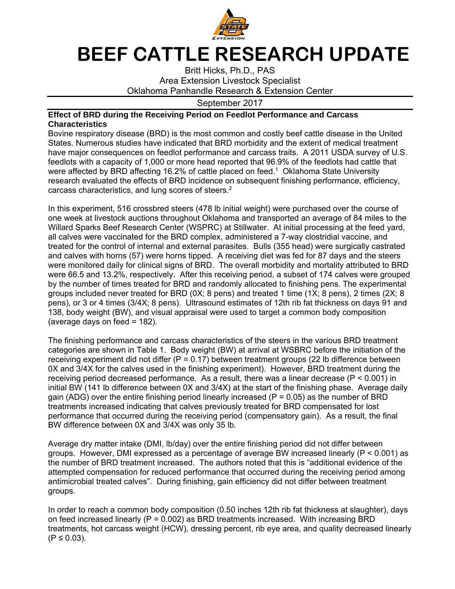

## **BEEF CATTLE RESEARCH UPDATE**

Britt Hicks, Ph.D., PAS Area Extension Livestock Specialist Oklahoma Panhandle Research & Extension Center

September 2017

## **Effect of BRD during the Receiving Period on Feedlot Performance and Carcass Characteristics**

Bovine respiratory disease (BRD) is the most common and costly beef cattle disease in the United States. Numerous studies have indicated that BRD morbidity and the extent of medical treatment have major consequences on feedlot performance and carcass traits. A 2011 USDA survey of U.S. feedlots with a capacity of 1,000 or more head reported that 96.9% of the feedlots had cattle that were affected by BRD affecting 16.2% of cattle placed on feed.<sup>1</sup> Oklahoma State University research evaluated the effects of BRD incidence on subsequent finishing performance, efficiency, carcass characteristics, and lung scores of steers.2

In this experiment, 516 crossbred steers (478 lb initial weight) were purchased over the course of one week at livestock auctions throughout Oklahoma and transported an average of 84 miles to the Willard Sparks Beef Research Center (WSPRC) at Stillwater. At initial processing at the feed yard, all calves were vaccinated for the BRD complex, administered a 7-way clostridial vaccine, and treated for the control of internal and external parasites. Bulls (355 head) were surgically castrated and calves with horns (57) were horns tipped. A receiving diet was fed for 87 days and the steers were monitored daily for clinical signs of BRD. The overall morbidity and mortality attributed to BRD were 66.5 and 13.2%, respectively. After this receiving period, a subset of 174 calves were grouped by the number of times treated for BRD and randomly allocated to finishing pens. The experimental groups included never treated for BRD (0X; 8 pens) and treated 1 time (1X; 8 pens), 2 times (2X; 8 pens), or 3 or 4 times (3/4X; 8 pens). Ultrasound estimates of 12th rib fat thickness on days 91 and 138, body weight (BW), and visual appraisal were used to target a common body composition (average days on feed = 182).

The finishing performance and carcass characteristics of the steers in the various BRD treatment categories are shown in Table 1. Body weight (BW) at arrival at WSBRC before the initiation of the receiving experiment did not differ (P = 0.17) between treatment groups (22 lb difference between 0X and 3/4X for the calves used in the finishing experiment). However, BRD treatment during the receiving period decreased performance. As a result, there was a linear decrease (P < 0.001) in initial BW (141 lb difference between 0X and 3/4X) at the start of the finishing phase. Average daily gain (ADG) over the entire finishing period linearly increased ( $P = 0.05$ ) as the number of BRD treatments increased indicating that calves previously treated for BRD compensated for lost performance that occurred during the receiving period (compensatory gain). As a result, the final BW difference between 0X and 3/4X was only 35 lb.

Average dry matter intake (DMI, lb/day) over the entire finishing period did not differ between groups. However, DMI expressed as a percentage of average BW increased linearly (P < 0.001) as the number of BRD treatment increased. The authors noted that this is "additional evidence of the attempted compensation for reduced performance that occurred during the receiving period among antimicrobial treated calves". During finishing, gain efficiency did not differ between treatment groups.

In order to reach a common body composition (0.50 inches 12th rib fat thickness at slaughter), days on feed increased linearly ( $P = 0.002$ ) as BRD treatments increased. With increasing BRD treatments, hot carcass weight (HCW), dressing percent, rib eye area, and quality decreased linearly  $(P ≤ 0.03)$ .